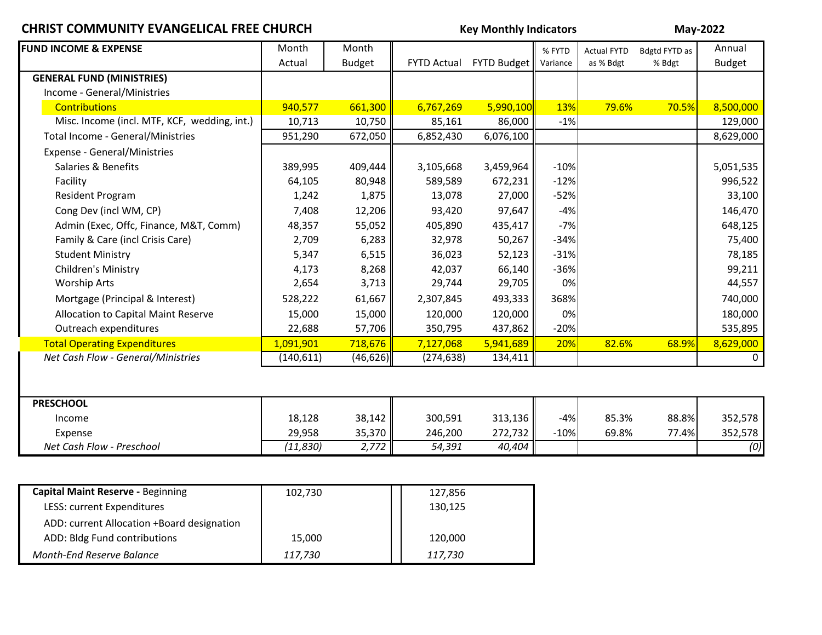|                                              | <b>CHRIST COMMUNITY EVANGELICAL FREE CHURCH</b> |               |                    |                    | <b>Key Monthly Indicators</b> |                    |               | May-2022      |  |
|----------------------------------------------|-------------------------------------------------|---------------|--------------------|--------------------|-------------------------------|--------------------|---------------|---------------|--|
| <b>FUND INCOME &amp; EXPENSE</b>             | Month                                           | Month         |                    |                    | % FYTD                        | <b>Actual FYTD</b> | Bdgtd FYTD as | Annual        |  |
|                                              | Actual                                          | <b>Budget</b> | <b>FYTD Actual</b> | <b>FYTD Budget</b> | Variance                      | as % Bdgt          | % Bdgt        | <b>Budget</b> |  |
| <b>GENERAL FUND (MINISTRIES)</b>             |                                                 |               |                    |                    |                               |                    |               |               |  |
| Income - General/Ministries                  |                                                 |               |                    |                    |                               |                    |               |               |  |
| <b>Contributions</b>                         | 940,577                                         | 661,300       | 6,767,269          | 5,990,100          | 13%                           | 79.6%              | 70.5%         | 8,500,000     |  |
| Misc. Income (incl. MTF, KCF, wedding, int.) | 10,713                                          | 10,750        | 85,161             | 86,000             | $-1%$                         |                    |               | 129,000       |  |
| Total Income - General/Ministries            | 951,290                                         | 672,050       | 6,852,430          | 6,076,100          |                               |                    |               | 8,629,000     |  |
| <b>Expense - General/Ministries</b>          |                                                 |               |                    |                    |                               |                    |               |               |  |
| Salaries & Benefits                          | 389,995                                         | 409,444       | 3,105,668          | 3,459,964          | $-10%$                        |                    |               | 5,051,535     |  |
| Facility                                     | 64,105                                          | 80,948        | 589,589            | 672,231            | $-12%$                        |                    |               | 996,522       |  |
| <b>Resident Program</b>                      | 1,242                                           | 1,875         | 13,078             | 27,000             | $-52%$                        |                    |               | 33,100        |  |
| Cong Dev (incl WM, CP)                       | 7,408                                           | 12,206        | 93,420             | 97,647             | $-4%$                         |                    |               | 146,470       |  |
| Admin (Exec, Offc, Finance, M&T, Comm)       | 48,357                                          | 55,052        | 405,890            | 435,417            | $-7%$                         |                    |               | 648,125       |  |
| Family & Care (incl Crisis Care)             | 2,709                                           | 6,283         | 32,978             | 50,267             | $-34%$                        |                    |               | 75,400        |  |
| <b>Student Ministry</b>                      | 5,347                                           | 6,515         | 36,023             | 52,123             | $-31%$                        |                    |               | 78,185        |  |
| Children's Ministry                          | 4,173                                           | 8,268         | 42,037             | 66,140             | $-36%$                        |                    |               | 99,211        |  |
| <b>Worship Arts</b>                          | 2,654                                           | 3,713         | 29,744             | 29,705             | 0%                            |                    |               | 44,557        |  |
| Mortgage (Principal & Interest)              | 528,222                                         | 61,667        | 2,307,845          | 493,333            | 368%                          |                    |               | 740,000       |  |
| Allocation to Capital Maint Reserve          | 15,000                                          | 15,000        | 120,000            | 120,000            | 0%                            |                    |               | 180,000       |  |
| Outreach expenditures                        | 22,688                                          | 57,706        | 350,795            | 437,862            | $-20%$                        |                    |               | 535,895       |  |
| <b>Total Operating Expenditures</b>          | 1,091,901                                       | 718,676       | 7,127,068          | 5,941,689          | 20%                           | 82.6%              | 68.9%         | 8,629,000     |  |
| Net Cash Flow - General/Ministries           | (140, 611)                                      | (46, 626)     | (274, 638)         | 134,411            |                               |                    |               | $\Omega$      |  |
|                                              |                                                 |               |                    |                    |                               |                    |               |               |  |
| <b>PRESCHOOL</b>                             |                                                 |               |                    |                    |                               |                    |               |               |  |
| Income                                       | 18,128                                          | 38,142        | 300,591            | 313,136            | $-4%$                         | 85.3%              | 88.8%         | 352,578       |  |
| Expense                                      | 29,958                                          | 35,370        | 246,200            | 272,732            | $-10%$                        | 69.8%              | 77.4%         | 352,578       |  |
| Net Cash Flow - Preschool                    | (11, 830)                                       | 2,772         | 54,391             | 40,404             |                               |                    |               | (0)           |  |

| Capital Mallit Reserve - Degitiming        | TO 7,730 | 127,856 |
|--------------------------------------------|----------|---------|
| LESS: current Expenditures                 |          | 130,125 |
| ADD: current Allocation +Board designation |          |         |
| ADD: Bldg Fund contributions               | 15,000   | 120,000 |
| <b>Month-End Reserve Balance</b>           | 117.730  | 117,730 |
|                                            |          |         |